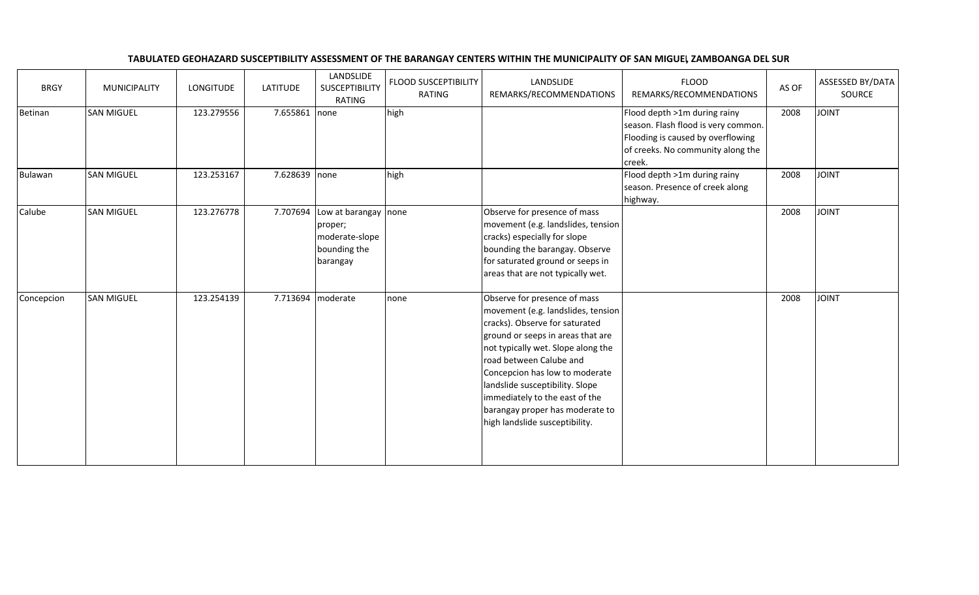## TABULATED GEOHAZARD SUSCEPTIBILITY ASSESSMENT OF THE BARANGAY CENTERS WITHIN THE MUNICIPALITY OF SAN MIGUE, ZAMBOANGA DEL SUR

| <b>BRGY</b> | <b>MUNICIPALITY</b> | LONGITUDE  | <b>LATITUDE</b> | LANDSLIDE<br>SUSCEPTIBILITY<br><b>RATING</b>                             | <b>FLOOD SUSCEPTIBILITY</b><br>RATING | LANDSLIDE<br>REMARKS/RECOMMENDATIONS                                                                                                                                                                                                                                                                                                                                                   | <b>FLOOD</b><br>REMARKS/RECOMMENDATIONS                                                                                                                 | AS OF | ASSESSED BY/DATA<br>SOURCE |
|-------------|---------------------|------------|-----------------|--------------------------------------------------------------------------|---------------------------------------|----------------------------------------------------------------------------------------------------------------------------------------------------------------------------------------------------------------------------------------------------------------------------------------------------------------------------------------------------------------------------------------|---------------------------------------------------------------------------------------------------------------------------------------------------------|-------|----------------------------|
| Betinan     | <b>SAN MIGUEL</b>   | 123.279556 | 7.655861        | none                                                                     | high                                  |                                                                                                                                                                                                                                                                                                                                                                                        | Flood depth >1m during rainy<br>season. Flash flood is very common.<br>Flooding is caused by overflowing<br>of creeks. No community along the<br>creek. | 2008  | <b>JOINT</b>               |
| Bulawan     | <b>SAN MIGUEL</b>   | 123.253167 | 7.628639        | none                                                                     | high                                  |                                                                                                                                                                                                                                                                                                                                                                                        | Flood depth >1m during rainy<br>season. Presence of creek along<br>highway.                                                                             | 2008  | <b>JOINT</b>               |
| Calube      | <b>SAN MIGUEL</b>   | 123.276778 | 7.707694        | Low at barangay<br>proper;<br>moderate-slope<br>bounding the<br>barangay | none                                  | Observe for presence of mass<br>movement (e.g. landslides, tension<br>cracks) especially for slope<br>bounding the barangay. Observe<br>for saturated ground or seeps in<br>areas that are not typically wet.                                                                                                                                                                          |                                                                                                                                                         | 2008  | <b>JOINT</b>               |
| Concepcion  | <b>SAN MIGUEL</b>   | 123.254139 | 7.713694        | moderate                                                                 | none                                  | Observe for presence of mass<br>movement (e.g. landslides, tension<br>cracks). Observe for saturated<br>ground or seeps in areas that are<br>not typically wet. Slope along the<br>road between Calube and<br>Concepcion has low to moderate<br>landslide susceptibility. Slope<br>immediately to the east of the<br>barangay proper has moderate to<br>high landslide susceptibility. |                                                                                                                                                         | 2008  | <b>TVIOL</b>               |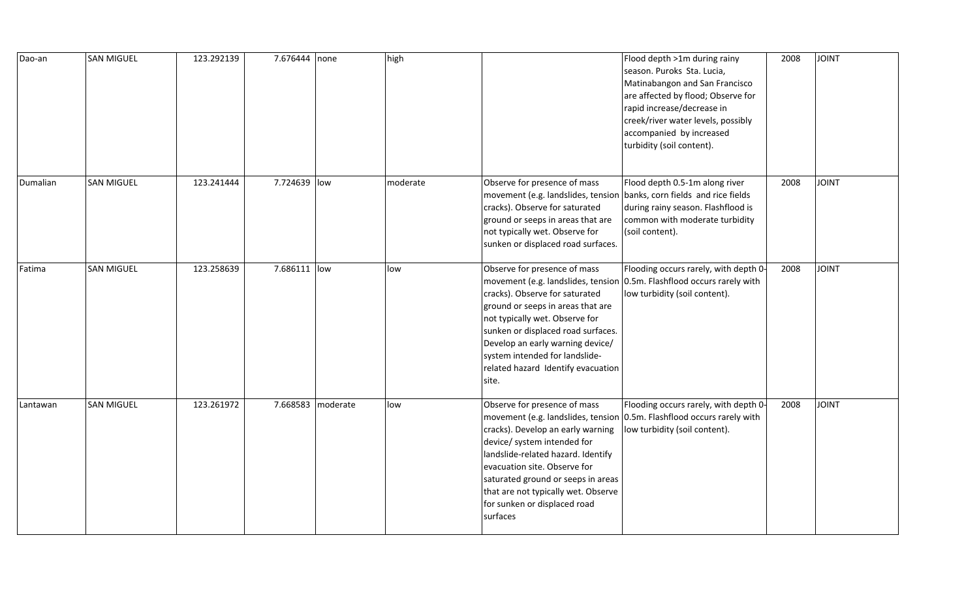| Dao-an   | <b>SAN MIGUEL</b> | 123.292139 | 7.676444 none |                   | high     |                                                                                                                                                                                                                                                                                                  | Flood depth >1m during rainy<br>season. Puroks Sta. Lucia,<br>Matinabangon and San Francisco<br>are affected by flood; Observe for<br>rapid increase/decrease in<br>creek/river water levels, possibly<br>accompanied by increased<br>turbidity (soil content). | 2008 | <b>JOINT</b> |
|----------|-------------------|------------|---------------|-------------------|----------|--------------------------------------------------------------------------------------------------------------------------------------------------------------------------------------------------------------------------------------------------------------------------------------------------|-----------------------------------------------------------------------------------------------------------------------------------------------------------------------------------------------------------------------------------------------------------------|------|--------------|
| Dumalian | <b>SAN MIGUEL</b> | 123.241444 | 7.724639 low  |                   | moderate | Observe for presence of mass<br>movement (e.g. landslides, tension banks, corn fields and rice fields<br>cracks). Observe for saturated<br>ground or seeps in areas that are<br>not typically wet. Observe for<br>sunken or displaced road surfaces.                                             | Flood depth 0.5-1m along river<br>during rainy season. Flashflood is<br>common with moderate turbidity<br>(soil content).                                                                                                                                       | 2008 | <b>JOINT</b> |
| Fatima   | <b>SAN MIGUEL</b> | 123.258639 | 7.686111  low |                   | low      | Observe for presence of mass<br>cracks). Observe for saturated<br>ground or seeps in areas that are<br>not typically wet. Observe for<br>sunken or displaced road surfaces.<br>Develop an early warning device/<br>system intended for landslide-<br>related hazard Identify evacuation<br>site. | Flooding occurs rarely, with depth 0-<br>movement (e.g. landslides, tension 0.5m. Flashflood occurs rarely with<br>low turbidity (soil content).                                                                                                                | 2008 | <b>JOINT</b> |
| Lantawan | <b>SAN MIGUEL</b> | 123.261972 |               | 7.668583 moderate | low      | Observe for presence of mass<br>cracks). Develop an early warning<br>device/ system intended for<br>landslide-related hazard. Identify<br>evacuation site. Observe for<br>saturated ground or seeps in areas<br>that are not typically wet. Observe<br>for sunken or displaced road<br>surfaces  | Flooding occurs rarely, with depth 0-<br>movement (e.g. landslides, tension 0.5m. Flashflood occurs rarely with<br>low turbidity (soil content).                                                                                                                | 2008 | <b>JOINT</b> |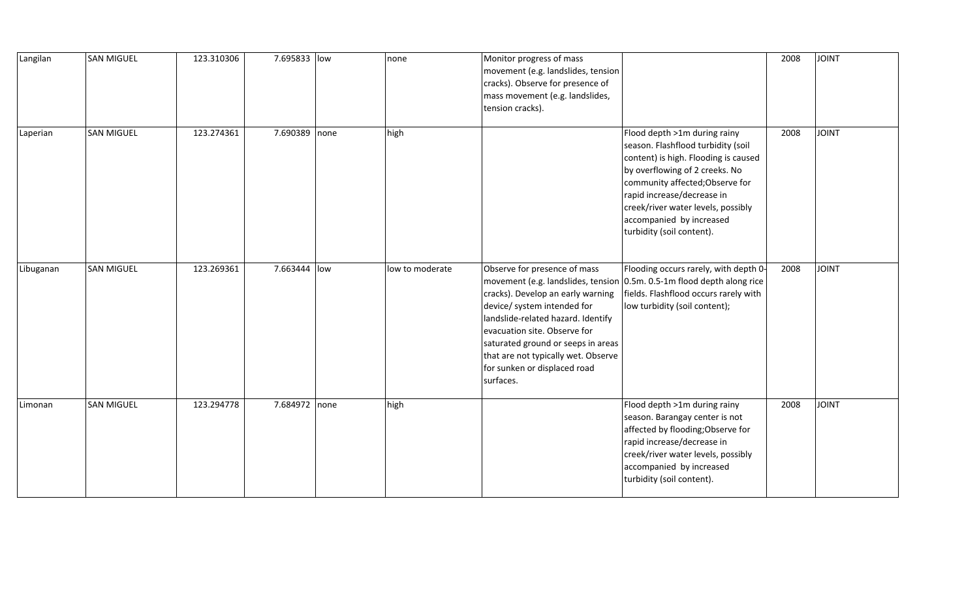| Langilan  | <b>SAN MIGUEL</b> | 123.310306 | 7.695833 low  | none            | Monitor progress of mass<br>movement (e.g. landslides, tension<br>cracks). Observe for presence of<br>mass movement (e.g. landslides,<br>tension cracks).                                                                                                                                        |                                                                                                                                                                                                                                                                                                              | 2008 | <b>JOINT</b> |
|-----------|-------------------|------------|---------------|-----------------|--------------------------------------------------------------------------------------------------------------------------------------------------------------------------------------------------------------------------------------------------------------------------------------------------|--------------------------------------------------------------------------------------------------------------------------------------------------------------------------------------------------------------------------------------------------------------------------------------------------------------|------|--------------|
| Laperian  | <b>SAN MIGUEL</b> | 123.274361 | 7.690389 none | high            |                                                                                                                                                                                                                                                                                                  | Flood depth >1m during rainy<br>season. Flashflood turbidity (soil<br>content) is high. Flooding is caused<br>by overflowing of 2 creeks. No<br>community affected; Observe for<br>rapid increase/decrease in<br>creek/river water levels, possibly<br>accompanied by increased<br>turbidity (soil content). | 2008 | <b>JOINT</b> |
| Libuganan | <b>SAN MIGUEL</b> | 123.269361 | 7.663444 low  | low to moderate | Observe for presence of mass<br>cracks). Develop an early warning<br>device/ system intended for<br>landslide-related hazard. Identify<br>evacuation site. Observe for<br>saturated ground or seeps in areas<br>that are not typically wet. Observe<br>for sunken or displaced road<br>surfaces. | Flooding occurs rarely, with depth 0-<br>movement (e.g. landslides, tension 0.5m. 0.5-1m flood depth along rice<br>fields. Flashflood occurs rarely with<br>low turbidity (soil content);                                                                                                                    | 2008 | <b>JOINT</b> |
| Limonan   | <b>SAN MIGUEL</b> | 123.294778 | 7.684972 none | high            |                                                                                                                                                                                                                                                                                                  | Flood depth >1m during rainy<br>season. Barangay center is not<br>affected by flooding; Observe for<br>rapid increase/decrease in<br>creek/river water levels, possibly<br>accompanied by increased<br>turbidity (soil content).                                                                             | 2008 | <b>JOINT</b> |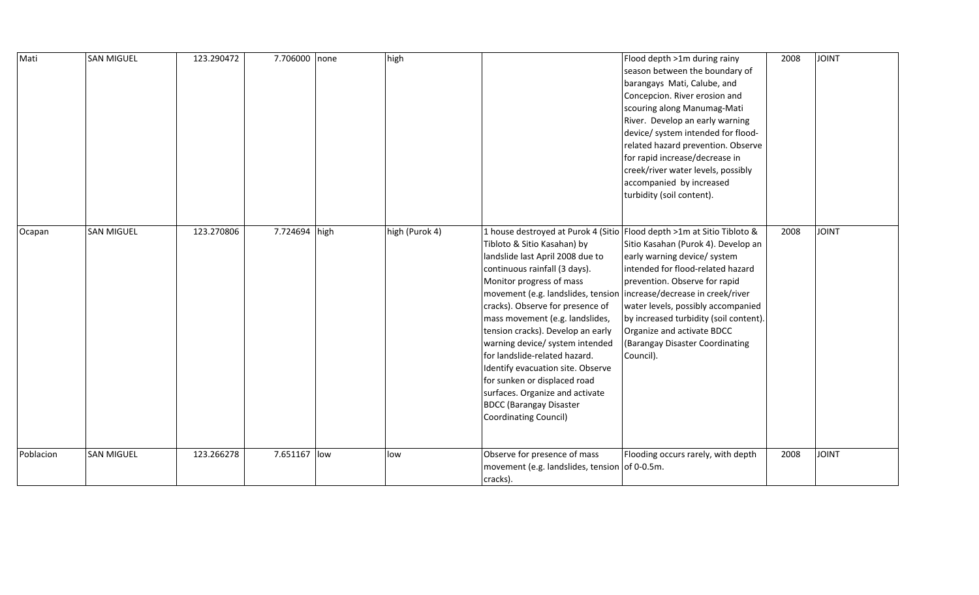| Mati      | <b>SAN MIGUEL</b> | 123.290472 | 7.706000 none | high           |                                                                                                                                                                                                                                                                                                                                                                                                                                                                                                                              | Flood depth >1m during rainy<br>season between the boundary of<br>barangays Mati, Calube, and<br>Concepcion. River erosion and<br>scouring along Manumag-Mati<br>River. Develop an early warning<br>device/ system intended for flood-<br>related hazard prevention. Observe<br>for rapid increase/decrease in<br>creek/river water levels, possibly<br>accompanied by increased<br>turbidity (soil content).         | 2008 | <b>JOINT</b> |
|-----------|-------------------|------------|---------------|----------------|------------------------------------------------------------------------------------------------------------------------------------------------------------------------------------------------------------------------------------------------------------------------------------------------------------------------------------------------------------------------------------------------------------------------------------------------------------------------------------------------------------------------------|-----------------------------------------------------------------------------------------------------------------------------------------------------------------------------------------------------------------------------------------------------------------------------------------------------------------------------------------------------------------------------------------------------------------------|------|--------------|
| Ocapan    | <b>SAN MIGUEL</b> | 123.270806 | 7.724694 high | high (Purok 4) | Tibloto & Sitio Kasahan) by<br>landslide last April 2008 due to<br>continuous rainfall (3 days).<br>Monitor progress of mass<br>movement (e.g. landslides, tension<br>cracks). Observe for presence of<br>mass movement (e.g. landslides,<br>tension cracks). Develop an early<br>warning device/ system intended<br>for landslide-related hazard.<br>Identify evacuation site. Observe<br>for sunken or displaced road<br>surfaces. Organize and activate<br><b>BDCC (Barangay Disaster</b><br><b>Coordinating Council)</b> | 1 house destroyed at Purok 4 (Sitio Flood depth >1m at Sitio Tibloto &<br>Sitio Kasahan (Purok 4). Develop an<br>early warning device/ system<br>intended for flood-related hazard<br>prevention. Observe for rapid<br>increase/decrease in creek/river<br>water levels, possibly accompanied<br>by increased turbidity (soil content).<br>Organize and activate BDCC<br>(Barangay Disaster Coordinating<br>Council). | 2008 | <b>JOINT</b> |
| Poblacion | <b>SAN MIGUEL</b> | 123.266278 | 7.651167 low  | low            | Observe for presence of mass<br>movement (e.g. landslides, tension of 0-0.5m.<br>cracks).                                                                                                                                                                                                                                                                                                                                                                                                                                    | Flooding occurs rarely, with depth                                                                                                                                                                                                                                                                                                                                                                                    | 2008 | <b>JOINT</b> |